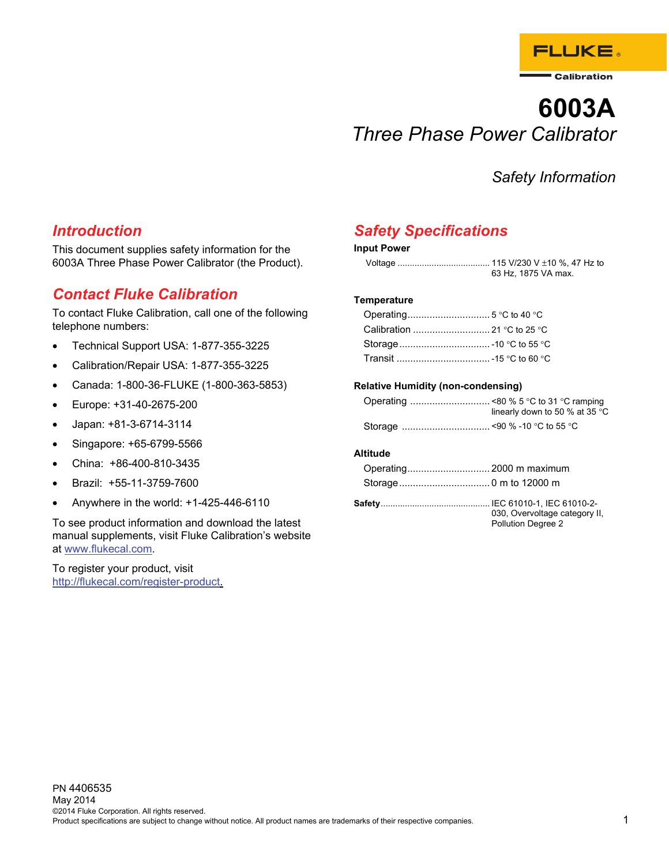

# **6003A**  *Three Phase Power Calibrator*

# *Safety Information*

### *Introduction*

This document supplies safety information for the 6003A Three Phase Power Calibrator (the Product).

### *Contact Fluke Calibration*

To contact Fluke Calibration, call one of the following telephone numbers:

- Technical Support USA: 1-877-355-3225
- Calibration/Repair USA: 1-877-355-3225
- Canada: 1-800-36-FLUKE (1-800-363-5853)
- Europe: +31-40-2675-200
- Japan: +81-3-6714-3114
- Singapore: +65-6799-5566
- China: +86-400-810-3435
- Brazil: +55-11-3759-7600
- Anywhere in the world: +1-425-446-6110

To see product information and download the latest manual supplements, visit Fluke Calibration's website at www.flukecal.com.

To register your product, visit http://flukecal.com/register-product.

### *Safety Specifications*

#### **Input Power**

|  | 63 Hz, 1875 VA max. |
|--|---------------------|

#### **Temperature**

#### **Relative Humidity (non-condensing)**

| linearly down to 50 % at 35 $\degree$ C |
|-----------------------------------------|
|                                         |

#### **Altitude**

| 030, Overvoltage category II,<br>Pollution Degree 2 |
|-----------------------------------------------------|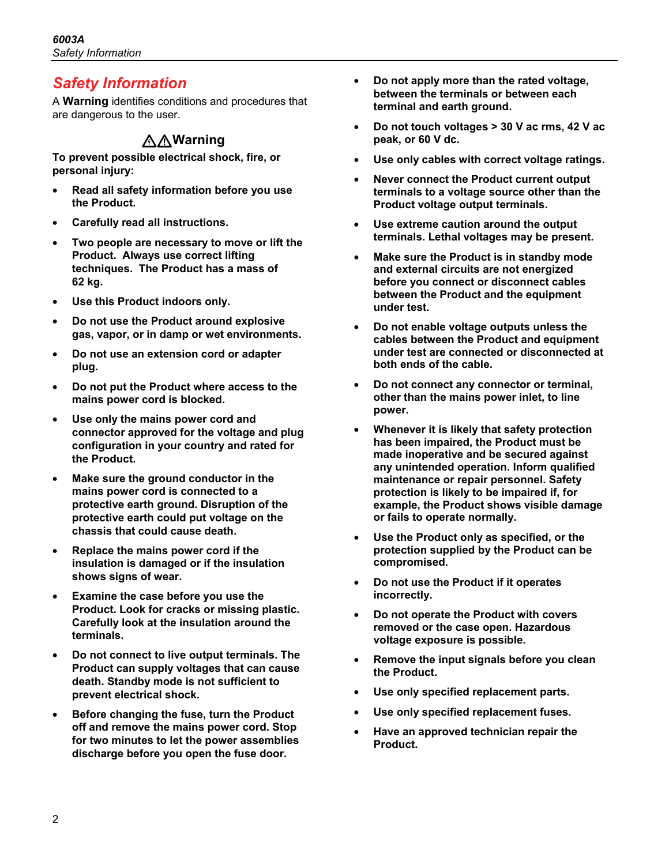## *Safety Information*

A **Warning** identifies conditions and procedures that are dangerous to the user.

### **AAWarning**

**To prevent possible electrical shock, fire, or personal injury:** 

- **Read all safety information before you use the Product.**
- **Carefully read all instructions.**
- **Two people are necessary to move or lift the Product. Always use correct lifting techniques. The Product has a mass of 62 kg.**
- **Use this Product indoors only.**
- **Do not use the Product around explosive gas, vapor, or in damp or wet environments.**
- **Do not use an extension cord or adapter plug.**
- **Do not put the Product where access to the mains power cord is blocked.**
- **Use only the mains power cord and connector approved for the voltage and plug configuration in your country and rated for the Product.**
- **Make sure the ground conductor in the mains power cord is connected to a protective earth ground. Disruption of the protective earth could put voltage on the chassis that could cause death.**
- **Replace the mains power cord if the insulation is damaged or if the insulation shows signs of wear.**
- **Examine the case before you use the Product. Look for cracks or missing plastic. Carefully look at the insulation around the terminals.**
- **Do not connect to live output terminals. The Product can supply voltages that can cause death. Standby mode is not sufficient to prevent electrical shock.**
- **Before changing the fuse, turn the Product off and remove the mains power cord. Stop for two minutes to let the power assemblies discharge before you open the fuse door.**
- **Do not apply more than the rated voltage, between the terminals or between each terminal and earth ground.**
- **Do not touch voltages > 30 V ac rms, 42 V ac peak, or 60 V dc.**
- Use only cables with correct voltage ratings.
- **Never connect the Product current output terminals to a voltage source other than the Product voltage output terminals.**
- **Use extreme caution around the output terminals. Lethal voltages may be present.**
- **Make sure the Product is in standby mode and external circuits are not energized before you connect or disconnect cables between the Product and the equipment under test.**
- **Do not enable voltage outputs unless the cables between the Product and equipment under test are connected or disconnected at both ends of the cable.**
- **Do not connect any connector or terminal, other than the mains power inlet, to line power.**
- **Whenever it is likely that safety protection has been impaired, the Product must be made inoperative and be secured against any unintended operation. Inform qualified maintenance or repair personnel. Safety protection is likely to be impaired if, for example, the Product shows visible damage or fails to operate normally.**
- **Use the Product only as specified, or the protection supplied by the Product can be compromised.**
- **Do not use the Product if it operates incorrectly.**
- **Do not operate the Product with covers removed or the case open. Hazardous voltage exposure is possible.**
- **Remove the input signals before you clean the Product.**
- **Use only specified replacement parts.**
- **Use only specified replacement fuses.**
- **Have an approved technician repair the Product.**